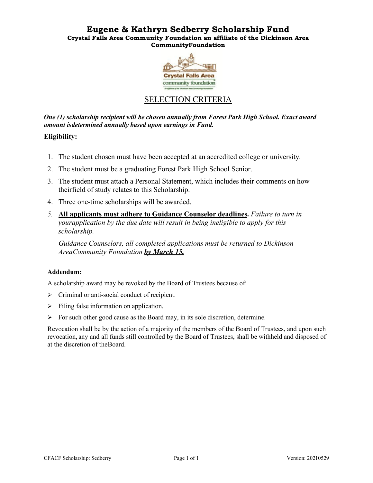## **Eugene & Kathryn Sedberry Scholarship Fund Crystal Falls Area Community Foundation an affiliate of the Dickinson Area CommunityFoundation**



## SELECTION CRITERIA

*One (1) scholarship recipient will be chosen annually from Forest Park High School. Exact award amount isdetermined annually based upon earnings in Fund.*

## **Eligibility:**

- 1. The student chosen must have been accepted at an accredited college or university.
- 2. The student must be a graduating Forest Park High School Senior.
- 3. The student must attach a Personal Statement, which includes their comments on how theirfield of study relates to this Scholarship.
- 4. Three one-time scholarships will be awarded.
- *5.* **All applicants must adhere to Guidance Counselor deadlines.** *Failure to turn in your application by the due date will result in being ineligible to apply for this scholarship.*

*Guidance Counselors, all completed applications must be returned to Dickinson Area Community Foundation by March 15.* 

## **Addendum:**

A scholarship award may be revoked by the Board of Trustees because of:

- $\triangleright$  Criminal or anti-social conduct of recipient.
- $\triangleright$  Filing false information on application.
- $\triangleright$  For such other good cause as the Board may, in its sole discretion, determine.

Revocation shall be by the action of a majority of the members of the Board of Trustees, and upon such revocation, any and all funds still controlled by the Board of Trustees, shall be withheld and disposed of at the discretion of the Board.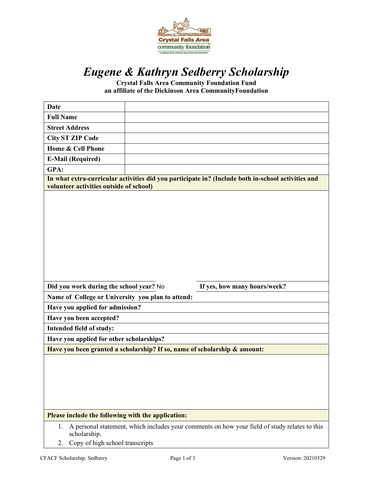

# *Eugene & Kathryn Sedberry Scholarship*

**Crystal Falls Area Community Foundation Fund an affiliate of the Dickinson Area Community Foundation** 

| <b>Date</b>                                                                                                                                   |  |                              |
|-----------------------------------------------------------------------------------------------------------------------------------------------|--|------------------------------|
| <b>Full Name</b>                                                                                                                              |  |                              |
| <b>Street Address</b>                                                                                                                         |  |                              |
| <b>City ST ZIP Code</b>                                                                                                                       |  |                              |
| <b>Home &amp; Cell Phone</b>                                                                                                                  |  |                              |
| <b>E-Mail (Required)</b>                                                                                                                      |  |                              |
| GPA:                                                                                                                                          |  |                              |
| In what extra-curricular activities did you participate in? (Include both in-school activities and<br>volunteer activities outside of school) |  |                              |
|                                                                                                                                               |  |                              |
| Did you work during the school year? No                                                                                                       |  | If yes, how many hours/week? |
| Name of College or University you plan to attend:                                                                                             |  |                              |
| Have you applied for admission?                                                                                                               |  |                              |
| Have you been accepted?                                                                                                                       |  |                              |
| Intended field of study:                                                                                                                      |  |                              |
| Have you applied for other scholarships?                                                                                                      |  |                              |
| Have you been granted a scholarship? If so, name of scholarship & amount:                                                                     |  |                              |
|                                                                                                                                               |  |                              |
| Please include the following with the application:                                                                                            |  |                              |
| A personal statement, which includes your comments on how your field of study relates to this<br>1.<br>scholarship.                           |  |                              |

2. Copy of high school transcripts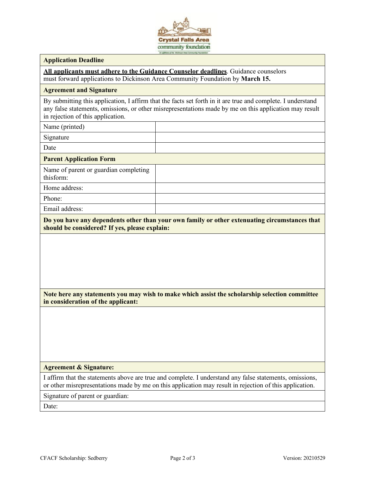

#### **Application Deadline**

**All applicants must adhere to the Guidance Counselor deadlines**. Guidance counselors must forward applications to Dickinson Area Community Foundation by **March 15.**

#### **Agreement and Signature**

By submitting this application, I affirm that the facts set forth in it are true and complete. I understand any false statements, omissions, or other misrepresentations made by me on this application may result in rejection of this application.

Name (printed)

Signature

Date

#### **Parent Application Form**

Name of parent or guardian completing thisform:

Home address:

Phone:

Email address:

**Do you have any dependents other than your own family or other extenuating circumstances that should be considered? If yes, please explain:**

### **Note here any statements you may wish to make which assist the scholarship selection committee in consideration of the applicant:**

#### **Agreement & Signature:**

I affirm that the statements above are true and complete. I understand any false statements, omissions, or other misrepresentations made by me on this application may result in rejection of this application.

Signature of parent or guardian:

Date: